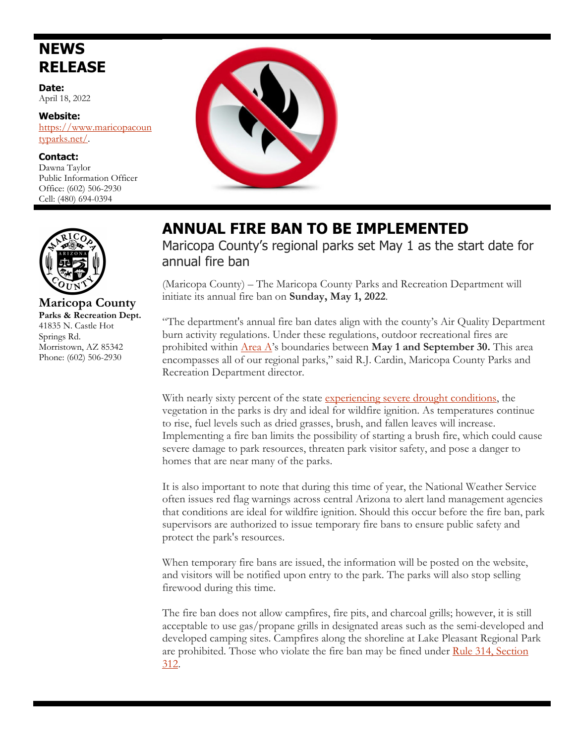## **NEWS RELEASE**

**Date:** April 18, 2022

**Website:**  [https://www.maricopacoun](https://www.maricopacountyparks.net/) [typarks.net/.](https://www.maricopacountyparks.net/) 

**Contact:** Dawna Taylor Public Information Officer Office: (602) 506-2930 Cell: (480) 694-0394





 **Maricopa County Parks & Recreation Dept.** 41835 N. Castle Hot Springs Rd. Morristown, AZ 85342 Phone: (602) 506-2930

## **ANNUAL FIRE BAN TO BE IMPLEMENTED**

Maricopa County's regional parks set May 1 as the start date for annual fire ban

(Maricopa County) – The Maricopa County Parks and Recreation Department will initiate its annual fire ban on **Sunday, May 1, 2022**.

"The department's annual fire ban dates align with the county's Air Quality Department burn activity regulations. Under these regulations, outdoor recreational fires are prohibited within [Area A'](https://www.maricopa.gov/DocumentCenter/View/5742/Area-A-Map-PDF?bidId=)s boundaries between **May 1 and September 30.** This area encompasses all of our regional parks," said R.J. Cardin, Maricopa County Parks and Recreation Department director.

With nearly sixty percent of the state [experiencing severe drought conditions,](https://droughtmonitor.unl.edu/CurrentMap/StateDroughtMonitor.aspx?AZ) the vegetation in the parks is dry and ideal for wildfire ignition. As temperatures continue to rise, fuel levels such as dried grasses, brush, and fallen leaves will increase. Implementing a fire ban limits the possibility of starting a brush fire, which could cause severe damage to park resources, threaten park visitor safety, and pose a danger to homes that are near many of the parks.

It is also important to note that during this time of year, the National Weather Service often issues red flag warnings across central Arizona to alert land management agencies that conditions are ideal for wildfire ignition. Should this occur before the fire ban, park supervisors are authorized to issue temporary fire bans to ensure public safety and protect the park's resources.

When temporary fire bans are issued, the information will be posted on the website, and visitors will be notified upon entry to the park. The parks will also stop selling firewood during this time.

The fire ban does not allow campfires, fire pits, and charcoal grills; however, it is still acceptable to use gas/propane grills in designated areas such as the semi-developed and developed camping sites. Campfires along the shoreline at Lake Pleasant Regional Park are prohibited. Those who violate the fire ban may be fined under [Rule 314, Section](https://www.maricopa.gov/DocumentCenter/View/5200/Rule-314---Outdoor-Fires-and-Commercial--Institutional-Solid-Fuel-Burning-PDF)  [312.](https://www.maricopa.gov/DocumentCenter/View/5200/Rule-314---Outdoor-Fires-and-Commercial--Institutional-Solid-Fuel-Burning-PDF)